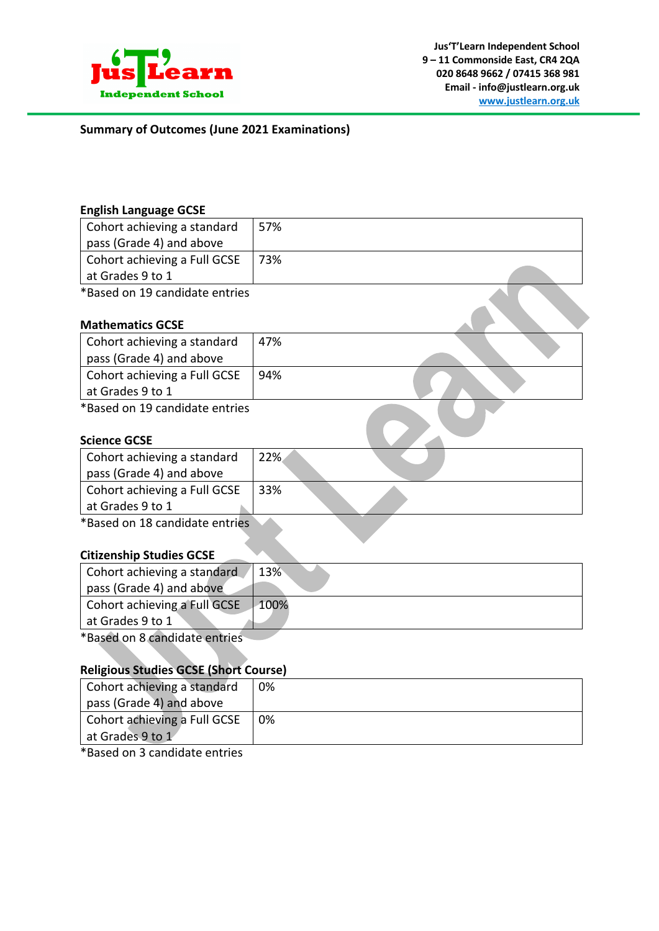

**Summary of Outcomes (June 2021 Examinations)**

### **English Language GCSE**

| Cohort achieving a standard    | 57% |  |
|--------------------------------|-----|--|
| pass (Grade 4) and above       |     |  |
| Cohort achieving a Full GCSE   | 73% |  |
| at Grades 9 to 1               |     |  |
| *Based on 19 candidate entries |     |  |

# **Mathematics GCSE**

| Cohort achieving a standard  | 47% |  |
|------------------------------|-----|--|
| pass (Grade 4) and above     |     |  |
| Cohort achieving a Full GCSE | 94% |  |
| at Grades 9 to 1             |     |  |
|                              |     |  |

\*Based on 19 candidate entries

### **Science GCSE**

| Cohort achieving a standard<br>pass (Grade 4) and above | 22% |  |
|---------------------------------------------------------|-----|--|
| Cohort achieving a Full GCSE                            | 33% |  |
| at Grades 9 to 1                                        |     |  |
| *Dacod on 10 candidato ontribe                          |     |  |

\*Based on 18 candidate entries

# **Citizenship Studies GCSE**

| Cohort achieving a standard   | 13%  |
|-------------------------------|------|
| pass (Grade 4) and above      |      |
| Cohort achieving a Full GCSE  | 100% |
| at Grades 9 to 1              |      |
| *Based on 8 candidate entries |      |

#### **Religious Studies GCSE (Short Course)**

| Cohort achieving a standard<br>pass (Grade 4) and above | 0% |
|---------------------------------------------------------|----|
| Cohort achieving a Full GCSE                            | 0% |
| at Grades 9 to 1                                        |    |

\*Based on 3 candidate entries